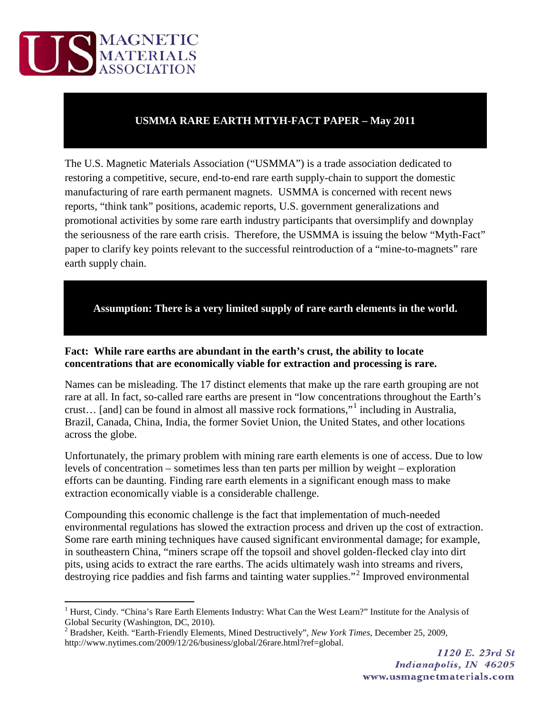

## **USMMA RARE EARTH MTYH-FACT PAPER – May 2011**

The U.S. Magnetic Materials Association ("USMMA") is a trade association dedicated to restoring a competitive, secure, end-to-end rare earth supply-chain to support the domestic manufacturing of rare earth permanent magnets. USMMA is concerned with recent news reports, "think tank" positions, academic reports, U.S. government generalizations and promotional activities by some rare earth industry participants that oversimplify and downplay the seriousness of the rare earth crisis. Therefore, the USMMA is issuing the below "Myth-Fact" paper to clarify key points relevant to the successful reintroduction of a "mine-to-magnets" rare earth supply chain.

**Assumption: There is a very limited supply of rare earth elements in the world.**

## **Fact: While rare earths are abundant in the earth's crust, the ability to locate concentrations that are economically viable for extraction and processing is rare.**

Names can be misleading. The 17 distinct elements that make up the rare earth grouping are not rare at all. In fact, so-called rare earths are present in "low concentrations throughout the Earth's crust… [and] can be found in almost all massive rock formations,"[1](#page-0-0) including in Australia, Brazil, Canada, China, India, the former Soviet Union, the United States, and other locations across the globe.

Unfortunately, the primary problem with mining rare earth elements is one of access. Due to low levels of concentration – sometimes less than ten parts per million by weight – exploration efforts can be daunting. Finding rare earth elements in a significant enough mass to make extraction economically viable is a considerable challenge.

Compounding this economic challenge is the fact that implementation of much-needed environmental regulations has slowed the extraction process and driven up the cost of extraction. Some rare earth mining techniques have caused significant environmental damage; for example, in southeastern China, "miners scrape off the topsoil and shovel golden-flecked clay into dirt pits, using acids to extract the rare earths. The acids ultimately wash into streams and rivers, destroying rice paddies and fish farms and tainting water supplies."<sup>[2](#page-0-1)</sup> Improved environmental

<span id="page-0-0"></span><sup>&</sup>lt;sup>1</sup> Hurst, Cindy. "China's Rare Earth Elements Industry: What Can the West Learn?" Institute for the Analysis of Global Security (Washington, DC, 2010).

<span id="page-0-1"></span><sup>2</sup> Bradsher, Keith. "Earth-Friendly Elements, Mined Destructively", *New York Times*, December 25, 2009, http://www.nytimes.com/2009/12/26/business/global/26rare.html?ref=global.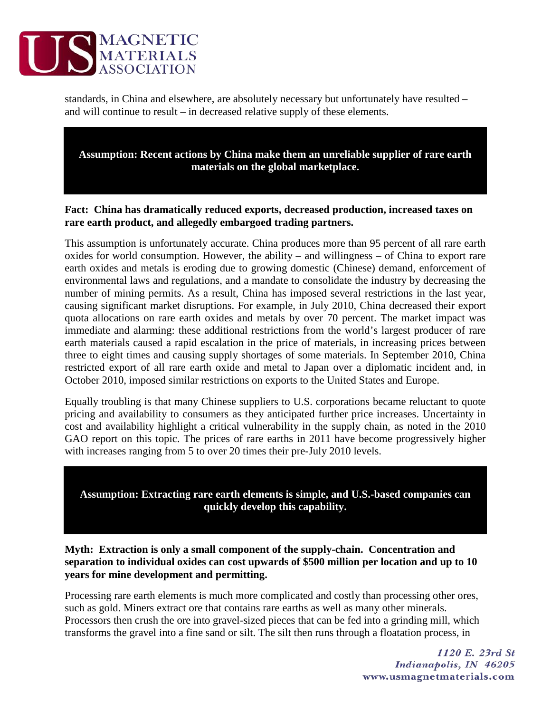

standards, in China and elsewhere, are absolutely necessary but unfortunately have resulted – and will continue to result – in decreased relative supply of these elements.

**Assumption: Recent actions by China make them an unreliable supplier of rare earth materials on the global marketplace.**

## **Fact: China has dramatically reduced exports, decreased production, increased taxes on rare earth product, and allegedly embargoed trading partners.**

This assumption is unfortunately accurate. China produces more than 95 percent of all rare earth oxides for world consumption. However, the ability – and willingness – of China to export rare earth oxides and metals is eroding due to growing domestic (Chinese) demand, enforcement of environmental laws and regulations, and a mandate to consolidate the industry by decreasing the number of mining permits. As a result, China has imposed several restrictions in the last year, causing significant market disruptions. For example, in July 2010, China decreased their export quota allocations on rare earth oxides and metals by over 70 percent. The market impact was immediate and alarming: these additional restrictions from the world's largest producer of rare earth materials caused a rapid escalation in the price of materials, in increasing prices between three to eight times and causing supply shortages of some materials. In September 2010, China restricted export of all rare earth oxide and metal to Japan over a diplomatic incident and, in October 2010, imposed similar restrictions on exports to the United States and Europe.

Equally troubling is that many Chinese suppliers to U.S. corporations became reluctant to quote pricing and availability to consumers as they anticipated further price increases. Uncertainty in cost and availability highlight a critical vulnerability in the supply chain, as noted in the 2010 GAO report on this topic. The prices of rare earths in 2011 have become progressively higher with increases ranging from 5 to over 20 times their pre-July 2010 levels.

**Assumption: Extracting rare earth elements is simple, and U.S.-based companies can quickly develop this capability.**

**Myth: Extraction is only a small component of the supply-chain. Concentration and separation to individual oxides can cost upwards of \$500 million per location and up to 10 years for mine development and permitting.** 

Processing rare earth elements is much more complicated and costly than processing other ores, such as gold. Miners extract ore that contains rare earths as well as many other minerals. Processors then crush the ore into gravel-sized pieces that can be fed into a grinding mill, which transforms the gravel into a fine sand or silt. The silt then runs through a floatation process, in

> 1120 E. 23rd St Indianapolis, IN 46205 www.usmagnetmaterials.com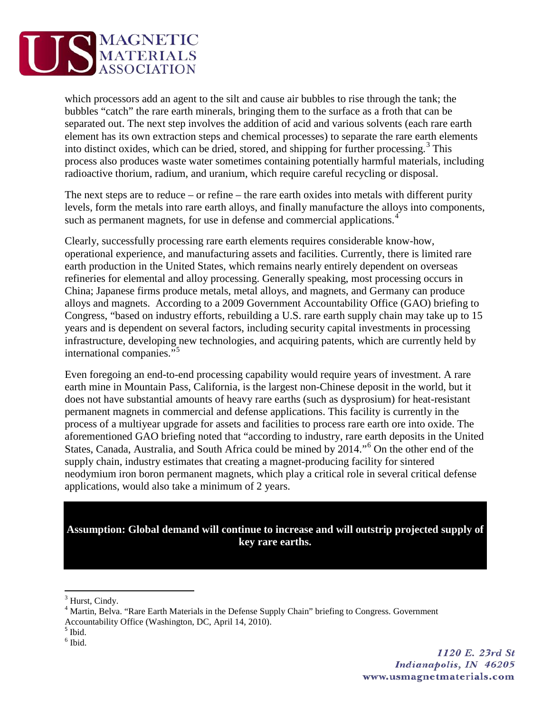

which processors add an agent to the silt and cause air bubbles to rise through the tank; the bubbles "catch" the rare earth minerals, bringing them to the surface as a froth that can be separated out. The next step involves the addition of acid and various solvents (each rare earth element has its own extraction steps and chemical processes) to separate the rare earth elements into distinct oxides, which can be dried, stored, and shipping for further processing.<sup>[3](#page-2-0)</sup> This process also produces waste water sometimes containing potentially harmful materials, including radioactive thorium, radium, and uranium, which require careful recycling or disposal.

The next steps are to reduce – or refine – the rare earth oxides into metals with different purity levels, form the metals into rare earth alloys, and finally manufacture the alloys into components, such as permanent magnets, for use in defense and commercial applications.<sup>[4](#page-2-1)</sup>

Clearly, successfully processing rare earth elements requires considerable know-how, operational experience, and manufacturing assets and facilities. Currently, there is limited rare earth production in the United States, which remains nearly entirely dependent on overseas refineries for elemental and alloy processing. Generally speaking, most processing occurs in China; Japanese firms produce metals, metal alloys, and magnets, and Germany can produce alloys and magnets. According to a 2009 Government Accountability Office (GAO) briefing to Congress, "based on industry efforts, rebuilding a U.S. rare earth supply chain may take up to 15 years and is dependent on several factors, including security capital investments in processing infrastructure, developing new technologies, and acquiring patents, which are currently held by international companies."[5](#page-2-2)

Even foregoing an end-to-end processing capability would require years of investment. A rare earth mine in Mountain Pass, California, is the largest non-Chinese deposit in the world, but it does not have substantial amounts of heavy rare earths (such as dysprosium) for heat-resistant permanent magnets in commercial and defense applications. This facility is currently in the process of a multiyear upgrade for assets and facilities to process rare earth ore into oxide. The aforementioned GAO briefing noted that "according to industry, rare earth deposits in the United States, Canada, Australia, and South Africa could be mined by 2014."[6](#page-2-3) On the other end of the supply chain, industry estimates that creating a magnet-producing facility for sintered neodymium iron boron permanent magnets, which play a critical role in several critical defense applications, would also take a minimum of 2 years.

**Assumption: Global demand will continue to increase and will outstrip projected supply of key rare earths.**

<span id="page-2-0"></span><sup>&</sup>lt;sup>3</sup> Hurst, Cindy.

<span id="page-2-1"></span><sup>&</sup>lt;sup>4</sup> Martin, Belva. "Rare Earth Materials in the Defense Supply Chain" briefing to Congress. Government

Accountability Office (Washington, DC, April 14, 2010). <sup>5</sup> Ibid.

<span id="page-2-2"></span>

<span id="page-2-3"></span> $<sup>6</sup>$  Ibid.</sup>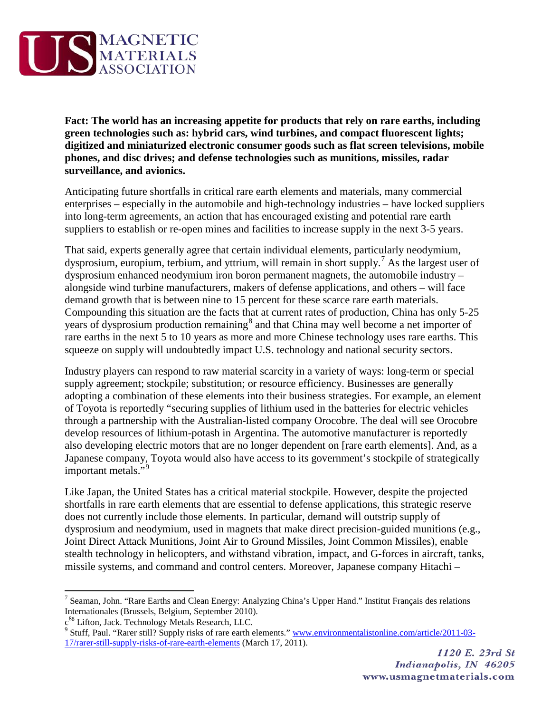

**Fact: The world has an increasing appetite for products that rely on rare earths, including green technologies such as: hybrid cars, wind turbines, and compact fluorescent lights; digitized and miniaturized electronic consumer goods such as flat screen televisions, mobile phones, and disc drives; and defense technologies such as munitions, missiles, radar surveillance, and avionics.**

Anticipating future shortfalls in critical rare earth elements and materials, many commercial enterprises – especially in the automobile and high-technology industries – have locked suppliers into long-term agreements, an action that has encouraged existing and potential rare earth suppliers to establish or re-open mines and facilities to increase supply in the next 3-5 years.

That said, experts generally agree that certain individual elements, particularly neodymium, dysprosium, europium, terbium, and yttrium, will remain in short supply.<sup>[7](#page-3-0)</sup> As the largest user of dysprosium enhanced neodymium iron boron permanent magnets, the automobile industry – alongside wind turbine manufacturers, makers of defense applications, and others – will face demand growth that is between nine to 15 percent for these scarce rare earth materials. Compounding this situation are the facts that at current rates of production, China has only 5-25 years of dysprosium production remaining<sup>[8](#page-3-1)</sup> and that China may well become a net importer of rare earths in the next 5 to 10 years as more and more Chinese technology uses rare earths. This squeeze on supply will undoubtedly impact U.S. technology and national security sectors.

Industry players can respond to raw material scarcity in a variety of ways: long-term or special supply agreement; stockpile; substitution; or resource efficiency. Businesses are generally adopting a combination of these elements into their business strategies. For example, an element of Toyota is reportedly "securing supplies of lithium used in the batteries for electric vehicles through a partnership with the Australian-listed company Orocobre. The deal will see Orocobre develop resources of lithium-potash in Argentina. The automotive manufacturer is reportedly also developing electric motors that are no longer dependent on [rare earth elements]. And, as a Japanese company, Toyota would also have access to its government's stockpile of strategically important metals."<sup>[9](#page-3-2)</sup>

Like Japan, the United States has a critical material stockpile. However, despite the projected shortfalls in rare earth elements that are essential to defense applications, this strategic reserve does not currently include those elements. In particular, demand will outstrip supply of dysprosium and neodymium, used in magnets that make direct precision-guided munitions (e.g., Joint Direct Attack Munitions, Joint Air to Ground Missiles, Joint Common Missiles), enable stealth technology in helicopters, and withstand vibration, impact, and G-forces in aircraft, tanks, missile systems, and command and control centers. Moreover, Japanese company Hitachi –

<span id="page-3-0"></span><sup>7</sup> Seaman, John. "Rare Earths and Clean Energy: Analyzing China's Upper Hand." Institut Français des relations Internationales (Brussels, Belgium, September 2010).

<span id="page-3-2"></span><span id="page-3-1"></span>c<sup>88</sup> Lifton, Jack. Technology Metals Research, LLC.<br><sup>9</sup> Stuff, Paul. "Rarer still? Supply risks of rare earth elements." <u>www.environmentalistonline.com/article/2011-03-</u> [17/rarer-still-supply-risks-of-rare-earth-elements](http://www.environmentalistonline.com/article/2011-03-17/rarer-still-supply-risks-of-rare-earth-elements) (March 17, 2011).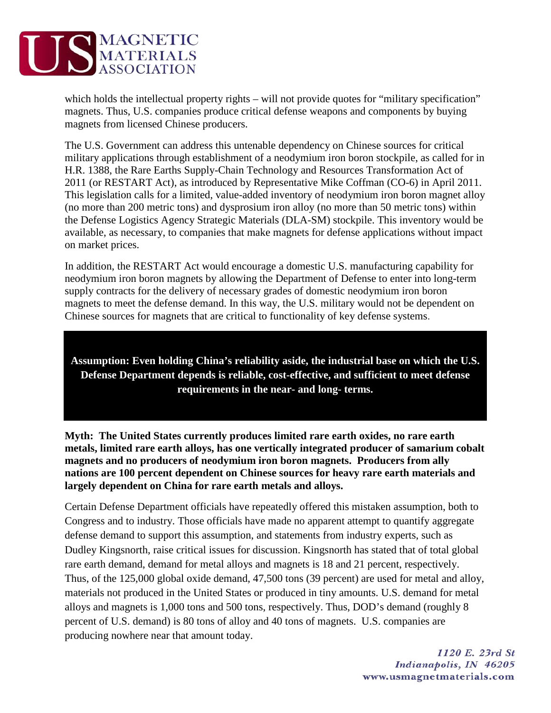

which holds the intellectual property rights – will not provide quotes for "military specification" magnets. Thus, U.S. companies produce critical defense weapons and components by buying magnets from licensed Chinese producers.

The U.S. Government can address this untenable dependency on Chinese sources for critical military applications through establishment of a neodymium iron boron stockpile, as called for in H.R. 1388, the Rare Earths Supply-Chain Technology and Resources Transformation Act of 2011 (or RESTART Act), as introduced by Representative Mike Coffman (CO-6) in April 2011. This legislation calls for a limited, value-added inventory of neodymium iron boron magnet alloy (no more than 200 metric tons) and dysprosium iron alloy (no more than 50 metric tons) within the Defense Logistics Agency Strategic Materials (DLA-SM) stockpile. This inventory would be available, as necessary, to companies that make magnets for defense applications without impact on market prices.

In addition, the RESTART Act would encourage a domestic U.S. manufacturing capability for neodymium iron boron magnets by allowing the Department of Defense to enter into long-term supply contracts for the delivery of necessary grades of domestic neodymium iron boron magnets to meet the defense demand. In this way, the U.S. military would not be dependent on Chinese sources for magnets that are critical to functionality of key defense systems.

**Assumption: Even holding China's reliability aside, the industrial base on which the U.S. Defense Department depends is reliable, cost-effective, and sufficient to meet defense requirements in the near- and long- terms.**

**Myth: The United States currently produces limited rare earth oxides, no rare earth metals, limited rare earth alloys, has one vertically integrated producer of samarium cobalt magnets and no producers of neodymium iron boron magnets. Producers from ally nations are 100 percent dependent on Chinese sources for heavy rare earth materials and largely dependent on China for rare earth metals and alloys.** 

Certain Defense Department officials have repeatedly offered this mistaken assumption, both to Congress and to industry. Those officials have made no apparent attempt to quantify aggregate defense demand to support this assumption, and statements from industry experts, such as Dudley Kingsnorth, raise critical issues for discussion. Kingsnorth has stated that of total global rare earth demand, demand for metal alloys and magnets is 18 and 21 percent, respectively. Thus, of the 125,000 global oxide demand, 47,500 tons (39 percent) are used for metal and alloy, materials not produced in the United States or produced in tiny amounts. U.S. demand for metal alloys and magnets is 1,000 tons and 500 tons, respectively. Thus, DOD's demand (roughly 8 percent of U.S. demand) is 80 tons of alloy and 40 tons of magnets. U.S. companies are producing nowhere near that amount today.

> 1120 E. 23rd St Indianapolis, IN 46205 www.usmagnetmaterials.com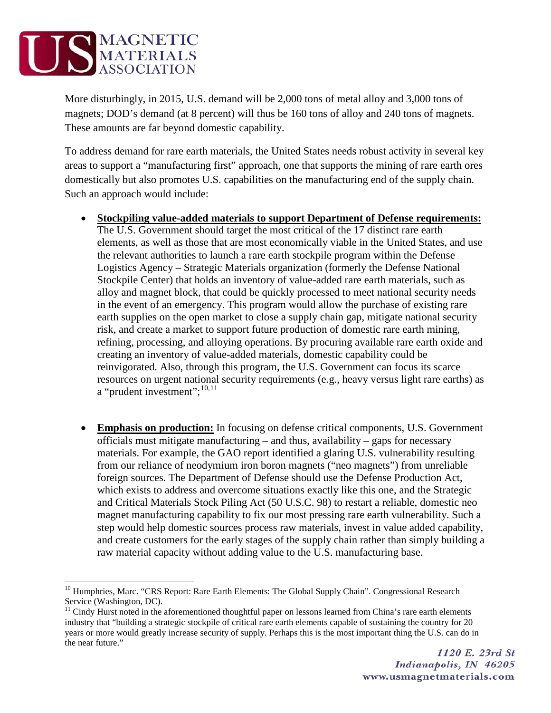

More disturbingly, in 2015, U.S. demand will be 2,000 tons of metal alloy and 3,000 tons of magnets; DOD's demand (at 8 percent) will thus be 160 tons of alloy and 240 tons of magnets. These amounts are far beyond domestic capability.

To address demand for rare earth materials, the United States needs robust activity in several key areas to support a "manufacturing first" approach, one that supports the mining of rare earth ores domestically but also promotes U.S. capabilities on the manufacturing end of the supply chain. Such an approach would include:

- **Stockpiling value-added materials to support Department of Defense requirements:** The U.S. Government should target the most critical of the 17 distinct rare earth elements, as well as those that are most economically viable in the United States, and use the relevant authorities to launch a rare earth stockpile program within the Defense Logistics Agency – Strategic Materials organization (formerly the Defense National Stockpile Center) that holds an inventory of value-added rare earth materials, such as alloy and magnet block, that could be quickly processed to meet national security needs in the event of an emergency. This program would allow the purchase of existing rare earth supplies on the open market to close a supply chain gap, mitigate national security risk, and create a market to support future production of domestic rare earth mining, refining, processing, and alloying operations. By procuring available rare earth oxide and creating an inventory of value-added materials, domestic capability could be reinvigorated. Also, through this program, the U.S. Government can focus its scarce resources on urgent national security requirements (e.g., heavy versus light rare earths) as a "prudent investment";<sup>[10](#page-5-0),[11](#page-5-1)</sup>
- **Emphasis on production:** In focusing on defense critical components, U.S. Government officials must mitigate manufacturing – and thus, availability – gaps for necessary materials. For example, the GAO report identified a glaring U.S. vulnerability resulting from our reliance of neodymium iron boron magnets ("neo magnets") from unreliable foreign sources. The Department of Defense should use the Defense Production Act, which exists to address and overcome situations exactly like this one, and the Strategic and Critical Materials Stock Piling Act (50 U.S.C. 98) to restart a reliable, domestic neo magnet manufacturing capability to fix our most pressing rare earth vulnerability. Such a step would help domestic sources process raw materials, invest in value added capability, and create customers for the early stages of the supply chain rather than simply building a raw material capacity without adding value to the U.S. manufacturing base.

<span id="page-5-0"></span><sup>&</sup>lt;sup>10</sup> Humphries, Marc. "CRS Report: Rare Earth Elements: The Global Supply Chain". Congressional Research Service (Washington, DC).

<span id="page-5-1"></span> $11$  Cindy Hurst noted in the aforementioned thoughtful paper on lessons learned from China's rare earth elements industry that "building a strategic stockpile of critical rare earth elements capable of sustaining the country for 20 years or more would greatly increase security of supply. Perhaps this is the most important thing the U.S. can do in the near future."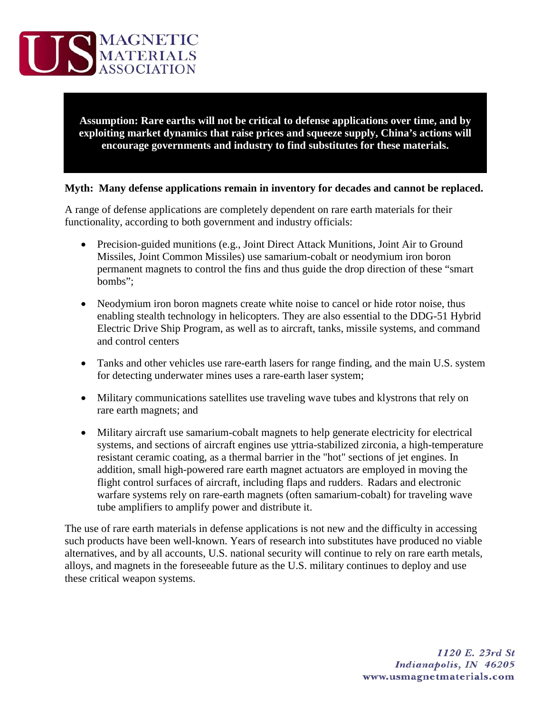

**Assumption: Rare earths will not be critical to defense applications over time, and by exploiting market dynamics that raise prices and squeeze supply, China's actions will encourage governments and industry to find substitutes for these materials.**

## **Myth: Many defense applications remain in inventory for decades and cannot be replaced.**

A range of defense applications are completely dependent on rare earth materials for their functionality, according to both government and industry officials:

- Precision-guided munitions (e.g., Joint Direct Attack Munitions, Joint Air to Ground Missiles, Joint Common Missiles) use samarium-cobalt or neodymium iron boron permanent magnets to control the fins and thus guide the drop direction of these "smart bombs";
- Neodymium iron boron magnets create white noise to cancel or hide rotor noise, thus enabling stealth technology in helicopters. They are also essential to the DDG-51 Hybrid Electric Drive Ship Program, as well as to aircraft, tanks, missile systems, and command and control centers
- Tanks and other vehicles use rare-earth lasers for range finding, and the main U.S. system for detecting underwater mines uses a rare-earth laser system;
- Military communications satellites use traveling wave tubes and klystrons that rely on rare earth magnets; and
- Military aircraft use samarium-cobalt magnets to help generate electricity for electrical systems, and sections of aircraft engines use yttria-stabilized zirconia, a high-temperature resistant ceramic coating, as a thermal barrier in the "hot" sections of jet engines. In addition, small high-powered rare earth magnet actuators are employed in moving the flight control surfaces of aircraft, including flaps and rudders. Radars and electronic warfare systems rely on rare-earth magnets (often samarium-cobalt) for traveling wave tube amplifiers to amplify power and distribute it.

The use of rare earth materials in defense applications is not new and the difficulty in accessing such products have been well-known. Years of research into substitutes have produced no viable alternatives, and by all accounts, U.S. national security will continue to rely on rare earth metals, alloys, and magnets in the foreseeable future as the U.S. military continues to deploy and use these critical weapon systems.

> 1120 E. 23rd St Indianapolis, IN 46205 www.usmagnetmaterials.com